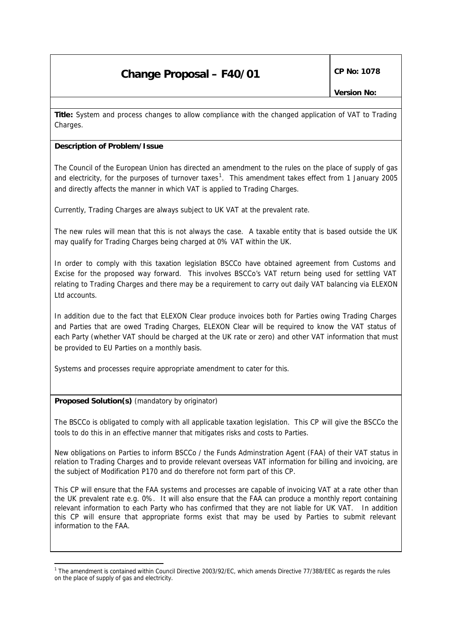**Title:** System and process changes to allow compliance with the changed application of VAT to Trading Charges.

#### **Description of Problem/Issue**

The Council of the European Union has directed an amendment to the rules on the place of supply of gas and electricity, for the purposes of turnover taxes<sup>1</sup>. This amendment takes effect from 1 January 2005 and directly affects the manner in which VAT is applied to Trading Charges.

Currently, Trading Charges are always subject to UK VAT at the prevalent rate.

The new rules will mean that this is not always the case. A taxable entity that is based outside the UK may qualify for Trading Charges being charged at 0% VAT within the UK.

In order to comply with this taxation legislation BSCCo have obtained agreement from Customs and Excise for the proposed way forward. This involves BSCCo's VAT return being used for settling VAT relating to Trading Charges and there may be a requirement to carry out daily VAT balancing via ELEXON Ltd accounts.

In addition due to the fact that ELEXON Clear produce invoices both for Parties owing Trading Charges and Parties that are owed Trading Charges, ELEXON Clear will be required to know the VAT status of each Party (whether VAT should be charged at the UK rate or zero) and other VAT information that must be provided to EU Parties on a monthly basis.

Systems and processes require appropriate amendment to cater for this.

#### **Proposed Solution(s)** *(mandatory by originator)*

i,

The BSCCo is obligated to comply with all applicable taxation legislation. This CP will give the BSCCo the tools to do this in an effective manner that mitigates risks and costs to Parties.

New obligations on Parties to inform BSCCo / the Funds Adminstration Agent (FAA) of their VAT status in relation to Trading Charges and to provide relevant overseas VAT information for billing and invoicing, are the subject of Modification P170 and do therefore not form part of this CP.

This CP will ensure that the FAA systems and processes are capable of invoicing VAT at a rate other than the UK prevalent rate e.g. 0%. It will also ensure that the FAA can produce a monthly report containing relevant information to each Party who has confirmed that they are not liable for UK VAT. In addition this CP will ensure that appropriate forms exist that may be used by Parties to submit relevant information to the FAA.

<sup>&</sup>lt;sup>1</sup> The amendment is contained within Council Directive 2003/92/EC, which amends Directive 77/388/EEC as regards the rules on the place of supply of gas and electricity.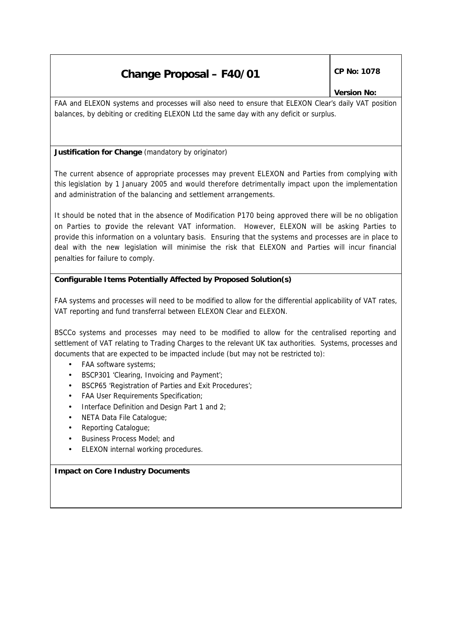### *Version No:*

FAA and ELEXON systems and processes will also need to ensure that ELEXON Clear's daily VAT position balances, by debiting or crediting ELEXON Ltd the same day with any deficit or surplus.

#### **Justification for Change** *(mandatory by originator)*

The current absence of appropriate processes may prevent ELEXON and Parties from complying with this legislation by 1 January 2005 and would therefore detrimentally impact upon the implementation and administration of the balancing and settlement arrangements.

It should be noted that in the absence of Modification P170 being approved there will be no obligation on Parties to provide the relevant VAT information. However, ELEXON will be asking Parties to provide this information on a voluntary basis. Ensuring that the systems and processes are in place to deal with the new legislation will minimise the risk that ELEXON and Parties will incur financial penalties for failure to comply.

#### **Configurable Items Potentially Affected by Proposed Solution(s)**

FAA systems and processes will need to be modified to allow for the differential applicability of VAT rates, VAT reporting and fund transferral between ELEXON Clear and ELEXON.

BSCCo systems and processes may need to be modified to allow for the centralised reporting and settlement of VAT relating to Trading Charges to the relevant UK tax authorities. Systems, processes and documents that are expected to be impacted include (but may not be restricted to):

- FAA software systems;
- BSCP301 'Clearing, Invoicing and Payment';
- BSCP65 'Registration of Parties and Exit Procedures';
- FAA User Requirements Specification;
- Interface Definition and Design Part 1 and 2;
- NETA Data File Catalogue;
- Reporting Catalogue;
- Business Process Model; and
- ELEXON internal working procedures.

#### **Impact on Core Industry Documents**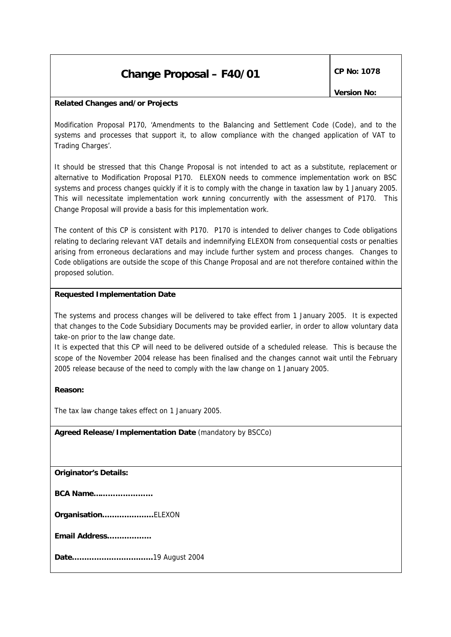*Version No:* 

#### **Related Changes and/or Projects**

Modification Proposal P170, 'Amendments to the Balancing and Settlement Code (Code), and to the systems and processes that support it, to allow compliance with the changed application of VAT to Trading Charges'.

It should be stressed that this Change Proposal is not intended to act as a substitute, replacement or alternative to Modification Proposal P170. ELEXON needs to commence implementation work on BSC systems and process changes quickly if it is to comply with the change in taxation law by 1 January 2005. This will necessitate implementation work running concurrently with the assessment of P170. This Change Proposal will provide a basis for this implementation work.

The content of this CP is consistent with P170. P170 is intended to deliver changes to Code obligations relating to declaring relevant VAT details and indemnifying ELEXON from consequential costs or penalties arising from erroneous declarations and may include further system and process changes. Changes to Code obligations are outside the scope of this Change Proposal and are not therefore contained within the proposed solution.

#### **Requested Implementation Date**

The systems and process changes will be delivered to take effect from 1 January 2005. It is expected that changes to the Code Subsidiary Documents may be provided earlier, in order to allow voluntary data take-on prior to the law change date.

It is expected that this CP will need to be delivered outside of a scheduled release. This is because the scope of the November 2004 release has been finalised and the changes cannot wait until the February 2005 release because of the need to comply with the law change on 1 January 2005.

#### **Reason:**

The tax law change takes effect on 1 January 2005.

**Agreed Release/Implementation Date** *(mandatory by BSCCo)*

*Originator's Details:*

|  | <b>BCA Name</b> |
|--|-----------------|
|--|-----------------|

*Organisation…………………*ELEXON

*Email Address………………*

*Date……………………………*19 August 2004